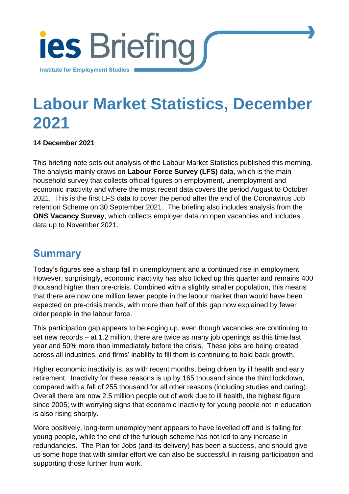

# **Labour Market Statistics, December 2021**

[Institute for Employment Studies](http://www.employment-studies.co.uk/) 1

#### **14 December 2021**

This briefing note sets out analysis of the Labour Market Statistics published this morning. The analysis mainly draws on **Labour Force Survey (LFS)** data, which is the main household survey that collects official figures on employment, unemployment and economic inactivity and where the most recent data covers the period August to October 2021. This is the first LFS data to cover the period after the end of the Coronavirus Job retention Scheme on 30 September 2021. The briefing also includes analysis from the **ONS Vacancy Survey**, which collects employer data on open vacancies and includes data up to November 2021.

### **Summary**

Today's figures see a sharp fall in unemployment and a continued rise in employment. However, surprisingly, economic inactivity has also ticked up this quarter and remains 400 thousand higher than pre-crisis. Combined with a slightly smaller population, this means that there are now one million fewer people in the labour market than would have been expected on pre-crisis trends, with more than half of this gap now explained by fewer older people in the labour force.

This participation gap appears to be edging up, even though vacancies are continuing to set new records – at 1.2 million, there are twice as many job openings as this time last year and 50% more than immediately before the crisis. These jobs are being created across all industries, and firms' inability to fill them is continuing to hold back growth.

Higher economic inactivity is, as with recent months, being driven by ill health and early retirement. Inactivity for these reasons is up by 165 thousand since the third lockdown, compared with a fall of 255 thousand for all other reasons (including studies and caring). Overall there are now 2.5 million people out of work due to ill health, the highest figure since 2005; with worrying signs that economic inactivity for young people not in education is also rising sharply.

More positively, long-term unemployment appears to have levelled off and is falling for young people, while the end of the furlough scheme has not led to any increase in redundancies. The Plan for Jobs (and its delivery) has been a success, and should give us some hope that with similar effort we can also be successful in raising participation and supporting those further from work.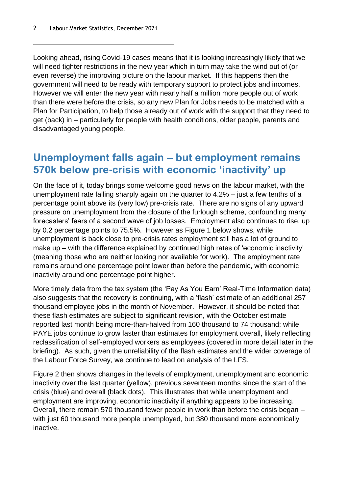Looking ahead, rising Covid-19 cases means that it is looking increasingly likely that we will need tighter restrictions in the new year which in turn may take the wind out of (or even reverse) the improving picture on the labour market. If this happens then the government will need to be ready with temporary support to protect jobs and incomes. However we will enter the new year with nearly half a million more people out of work than there were before the crisis, so any new Plan for Jobs needs to be matched with a Plan for Participation, to help those already out of work with the support that they need to get (back) in – particularly for people with health conditions, older people, parents and disadvantaged young people.

### **Unemployment falls again – but employment remains 570k below pre-crisis with economic 'inactivity' up**

On the face of it, today brings some welcome good news on the labour market, with the unemployment rate falling sharply again on the quarter to 4.2% – just a few tenths of a percentage point above its (very low) pre-crisis rate. There are no signs of any upward pressure on unemployment from the closure of the furlough scheme, confounding many forecasters' fears of a second wave of job losses. Employment also continues to rise, up by 0.2 percentage points to 75.5%. However as [Figure 1](#page-2-0) below shows, while unemployment is back close to pre-crisis rates employment still has a lot of ground to make up – with the difference explained by continued high rates of 'economic inactivity' (meaning those who are neither looking nor available for work). The employment rate remains around one percentage point lower than before the pandemic, with economic inactivity around one percentage point higher.

More timely data from the tax system (the 'Pay As You Earn' Real-Time Information data) also suggests that the recovery is continuing, with a 'flash' estimate of an additional 257 thousand employee jobs in the month of November. However, it should be noted that these flash estimates are subject to significant revision, with the October estimate reported last month being more-than-halved from 160 thousand to 74 thousand; while PAYE jobs continue to grow faster than estimates for employment overall, likely reflecting reclassification of self-employed workers as employees (covered in more detail later in the briefing). As such, given the unreliability of the flash estimates and the wider coverage of the Labour Force Survey, we continue to lead on analysis of the LFS.

[Figure 2](#page-2-1) then shows changes in the levels of employment, unemployment and economic inactivity over the last quarter (yellow), previous seventeen months since the start of the crisis (blue) and overall (black dots). This illustrates that while unemployment and employment are improving, economic inactivity if anything appears to be increasing. Overall, there remain 570 thousand fewer people in work than before the crisis began – with just 60 thousand more people unemployed, but 380 thousand more economically inactive.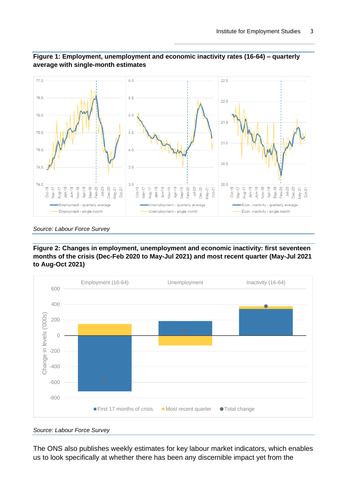

#### <span id="page-2-0"></span>**Figure 1: Employment, unemployment and economic inactivity rates (16-64) – quarterly average with single-month estimates**

*Source: Labour Force Survey*

<span id="page-2-1"></span>**Figure 2: Changes in employment, unemployment and economic inactivity: first seventeen months of the crisis (Dec-Feb 2020 to May-Jul 2021) and most recent quarter (May-Jul 2021 to Aug-Oct 2021)**



*Source: Labour Force Survey*

The ONS also publishes weekly estimates for key labour market indicators, which enables us to look specifically at whether there has been any discernible impact yet from the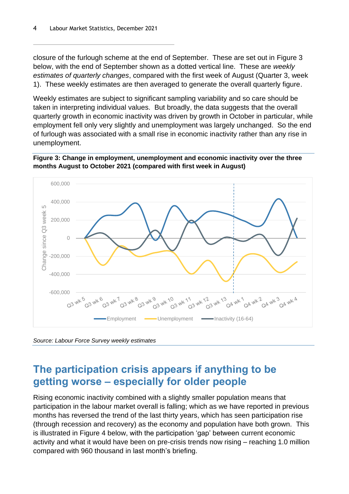closure of the furlough scheme at the end of September. These are set out in [Figure 3](#page-3-0) below, with the end of September shown as a dotted vertical line. These are *weekly estimates of quarterly changes*, compared with the first week of August (Quarter 3, week 1). These weekly estimates are then averaged to generate the overall quarterly figure.

Weekly estimates are subject to significant sampling variability and so care should be taken in interpreting individual values. But broadly, the data suggests that the overall quarterly growth in economic inactivity was driven by growth in October in particular, while employment fell only very slightly and unemployment was largely unchanged. So the end of furlough was associated with a small rise in economic inactivity rather than any rise in unemployment.

<span id="page-3-0"></span>**Figure 3: Change in employment, unemployment and economic inactivity over the three months August to October 2021 (compared with first week in August)**



*Source: Labour Force Survey weekly estimates*

#### **The participation crisis appears if anything to be getting worse – especially for older people**

Rising economic inactivity combined with a slightly smaller population means that participation in the labour market overall is falling; which as we have reported in previous months has reversed the trend of the last thirty years, which has seen participation rise (through recession and recovery) as the economy and population have both grown. This is illustrated in [Figure 4](#page-4-0) below, with the participation 'gap' between current economic activity and what it would have been on pre-crisis trends now rising – reaching 1.0 million compared with 960 thousand in last month's briefing.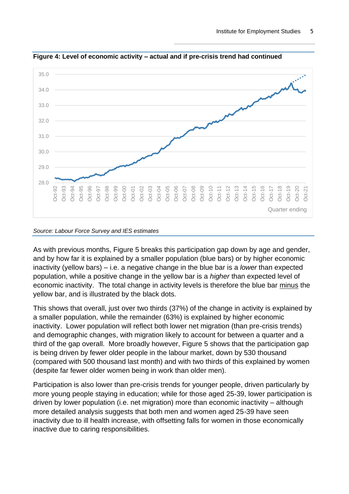

<span id="page-4-0"></span>**Figure 4: Level of economic activity – actual and if pre-crisis trend had continued**

#### *Source: Labour Force Survey and IES estimates*

As with previous months, [Figure 5](#page-5-0) breaks this participation gap down by age and gender, and by how far it is explained by a smaller population (blue bars) or by higher economic inactivity (yellow bars) – i.e. a negative change in the blue bar is a *lower* than expected population, while a positive change in the yellow bar is a *higher* than expected level of economic inactivity. The total change in activity levels is therefore the blue bar minus the yellow bar, and is illustrated by the black dots.

This shows that overall, just over two thirds (37%) of the change in activity is explained by a smaller population, while the remainder (63%) is explained by higher economic inactivity. Lower population will reflect both lower net migration (than pre-crisis trends) and demographic changes, with migration likely to account for between a quarter and a third of the gap overall. More broadly however, [Figure 5](#page-5-0) shows that the participation gap is being driven by fewer older people in the labour market, down by 530 thousand (compared with 500 thousand last month) and with two thirds of this explained by women (despite far fewer older women being in work than older men).

Participation is also lower than pre-crisis trends for younger people, driven particularly by more young people staying in education; while for those aged 25-39, lower participation is driven by lower population (i.e. net migration) more than economic inactivity – although more detailed analysis suggests that both men and women aged 25-39 have seen inactivity due to ill health increase, with offsetting falls for women in those economically inactive due to caring responsibilities.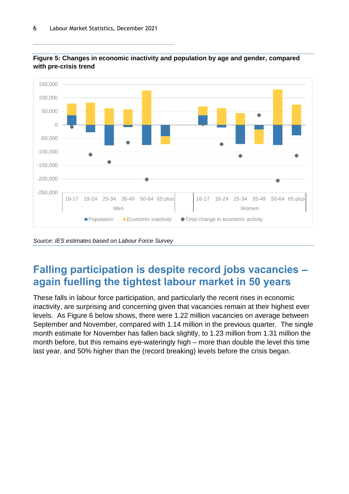

<span id="page-5-0"></span>

*Source: IES estimates based on Labour Force Survey*

### **Falling participation is despite record jobs vacancies – again fuelling the tightest labour market in 50 years**

These falls in labour force participation, and particularly the recent rises in economic inactivity, are surprising and concerning given that vacancies remain at their highest ever levels. As [Figure 6](#page-6-0) below shows, there were 1.22 million vacancies on average between September and November, compared with 1.14 million in the previous quarter. The single month estimate for November has fallen back slightly, to 1.23 million from 1.31 million the month before, but this remains eye-wateringly high – more than double the level this time last year, and 50% higher than the (record breaking) levels before the crisis began.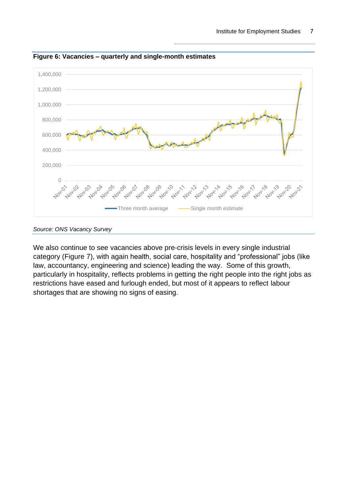

<span id="page-6-0"></span>**Figure 6: Vacancies – quarterly and single-month estimates**

*Source: ONS Vacancy Survey*

We also continue to see vacancies above pre-crisis levels in every single industrial category [\(Figure 7\)](#page-7-0), with again health, social care, hospitality and "professional" jobs (like law, accountancy, engineering and science) leading the way. Some of this growth, particularly in hospitality, reflects problems in getting the right people into the right jobs as restrictions have eased and furlough ended, but most of it appears to reflect labour shortages that are showing no signs of easing.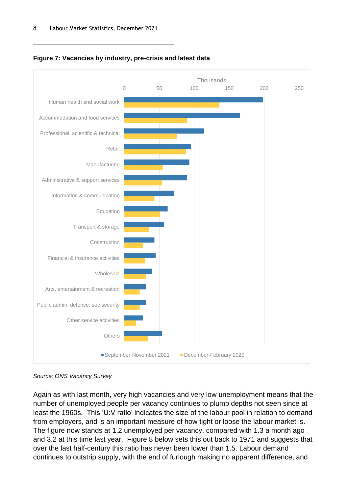

<span id="page-7-0"></span>



Again as with last month, very high vacancies and very low unemployment means that the number of unemployed people per vacancy continues to plumb depths not seen since at least the 1960s. This 'U:V ratio' indicates the size of the labour pool in relation to demand from employers, and is an important measure of how tight or loose the labour market is. The figure now stands at 1.2 unemployed per vacancy, compared with 1.3 a month ago and 3.2 at this time last year. [Figure 8](#page-8-0) below sets this out back to 1971 and suggests that over the last half-century this ratio has never been lower than 1.5. Labour demand continues to outstrip supply, with the end of furlough making no apparent difference, and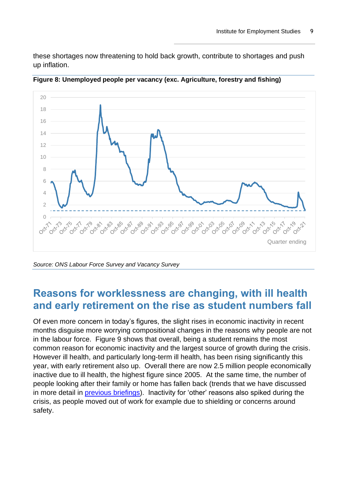these shortages now threatening to hold back growth, contribute to shortages and push up inflation.



<span id="page-8-0"></span>**Figure 8: Unemployed people per vacancy (exc. Agriculture, forestry and fishing)**

### **Reasons for worklessness are changing, with ill health and early retirement on the rise as student numbers fall**

Of even more concern in today's figures, the slight rises in economic inactivity in recent months disguise more worrying compositional changes in the reasons why people are not in the labour force. [Figure 9](#page-9-0) shows that overall, being a student remains the most common reason for economic inactivity and the largest source of growth during the crisis. However ill health, and particularly long-term ill health, has been rising significantly this year, with early retirement also up. Overall there are now 2.5 million people economically inactive due to ill health, the highest figure since 2005. At the same time, the number of people looking after their family or home has fallen back (trends that we have discussed in more detail in [previous briefings\)](https://www.employment-studies.co.uk/resource/labour-market-statistics-october-2021). Inactivity for 'other' reasons also spiked during the crisis, as people moved out of work for example due to shielding or concerns around safety.

*Source: ONS Labour Force Survey and Vacancy Survey*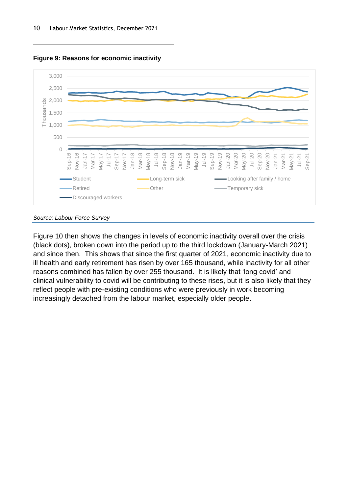<span id="page-9-0"></span>



*Source: Labour Force Survey*

[Figure](#page-10-0) 10 then shows the changes in levels of economic inactivity overall over the crisis (black dots), broken down into the period up to the third lockdown (January-March 2021) and since then. This shows that since the first quarter of 2021, economic inactivity due to ill health and early retirement has risen by over 165 thousand, while inactivity for all other reasons combined has fallen by over 255 thousand. It is likely that 'long covid' and clinical vulnerability to covid will be contributing to these rises, but it is also likely that they reflect people with pre-existing conditions who were previously in work becoming increasingly detached from the labour market, especially older people.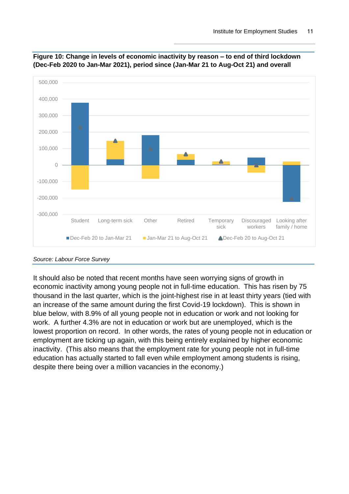

<span id="page-10-0"></span>

It should also be noted that recent months have seen worrying signs of growth in economic inactivity among young people not in full-time education. This has risen by 75 thousand in the last quarter, which is the joint-highest rise in at least thirty years (tied with an increase of the same amount during the first Covid-19 lockdown). This is shown in blue below, with 8.9% of all young people not in education or work and not looking for work. A further 4.3% are not in education or work but are unemployed, which is the lowest proportion on record. In other words, the rates of young people not in education or employment are ticking up again, with this being entirely explained by higher economic inactivity. (This also means that the employment rate for young people not in full-time education has actually started to fall even while employment among students is rising, despite there being over a million vacancies in the economy.)

*Source: Labour Force Survey*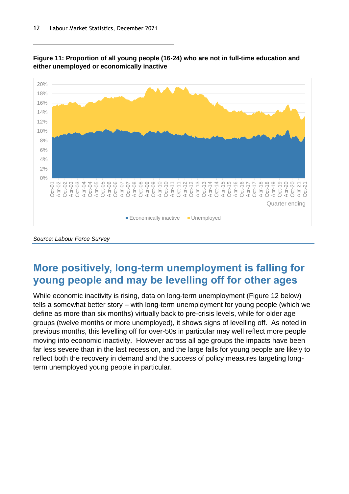



## **More positively, long-term unemployment is falling for young people and may be levelling off for other ages**

While economic inactivity is rising, data on long-term unemployment [\(Figure 12](#page-12-0) below) tells a somewhat better story – with long-term unemployment for young people (which we define as more than six months) virtually back to pre-crisis levels, while for older age groups (twelve months or more unemployed), it shows signs of levelling off. As noted in previous months, this levelling off for over-50s in particular may well reflect more people moving into economic inactivity. However across all age groups the impacts have been far less severe than in the last recession, and the large falls for young people are likely to reflect both the recovery in demand and the success of policy measures targeting longterm unemployed young people in particular.

*Source: Labour Force Survey*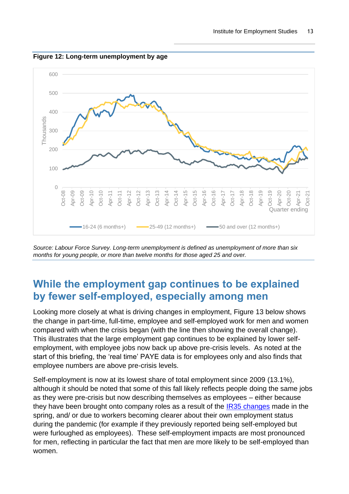

<span id="page-12-0"></span>**Figure 12: Long-term unemployment by age**

*Source: Labour Force Survey. Long-term unemployment is defined as unemployment of more than six months for young people, or more than twelve months for those aged 25 and over.*

### **While the employment gap continues to be explained by fewer self-employed, especially among men**

Looking more closely at what is driving changes in employment, [Figure 13](#page-14-0) below shows the change in part-time, full-time, employee and self-employed work for men and women compared with when the crisis began (with the line then showing the overall change). This illustrates that the large employment gap continues to be explained by lower selfemployment, with employee jobs now back up above pre-crisis levels. As noted at the start of this briefing, the 'real time' PAYE data is for employees only and also finds that employee numbers are above pre-crisis levels.

Self-employment is now at its lowest share of total employment since 2009 (13.1%), although it should be noted that some of this fall likely reflects people doing the same jobs as they were pre-crisis but now describing themselves as employees – either because they have been brought onto company roles as a result of the [IR35 changes](https://www.gov.uk/guidance/understanding-off-payroll-working-ir35) made in the spring, and/ or due to workers becoming clearer about their own employment status during the pandemic (for example if they previously reported being self-employed but were furloughed as employees). These self-employment impacts are most pronounced for men, reflecting in particular the fact that men are more likely to be self-employed than women.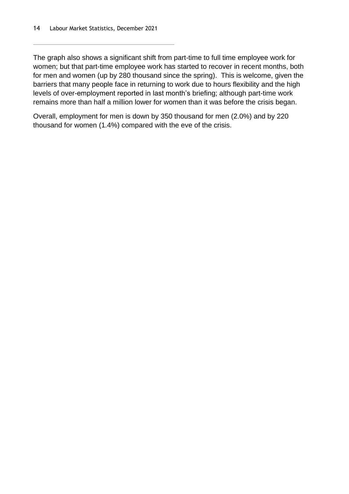The graph also shows a significant shift from part-time to full time employee work for women; but that part-time employee work has started to recover in recent months, both for men and women (up by 280 thousand since the spring). This is welcome, given the barriers that many people face in returning to work due to hours flexibility and the high levels of over-employment reported in last month's briefing; although part-time work remains more than half a million lower for women than it was before the crisis began.

Overall, employment for men is down by 350 thousand for men (2.0%) and by 220 thousand for women (1.4%) compared with the eve of the crisis.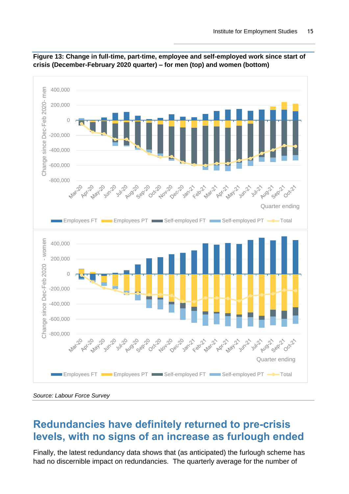

<span id="page-14-0"></span>

#### **Redundancies have definitely returned to pre-crisis levels, with no signs of an increase as furlough ended**

Finally, the latest redundancy data shows that (as anticipated) the furlough scheme has had no discernible impact on redundancies. The quarterly average for the number of

*Source: Labour Force Survey*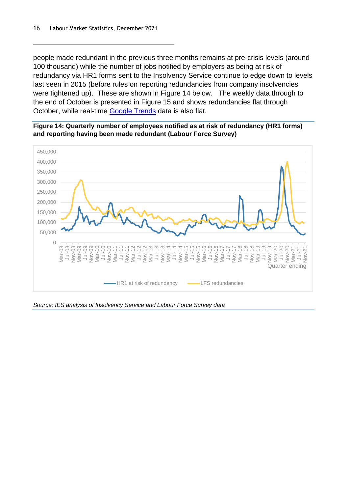people made redundant in the previous three months remains at pre-crisis levels (around 100 thousand) while the number of jobs notified by employers as being at risk of redundancy via HR1 forms sent to the Insolvency Service continue to edge down to levels last seen in 2015 (before rules on reporting redundancies from company insolvencies were tightened up). These are shown in [Figure 14](#page-15-0) below. The weekly data through to the end of October is presented in [Figure 15](#page-16-0) and shows redundancies flat through October, while real-time [Google Trends](https://trends.google.com/trends/explore?date=today%205-y&geo=GB&q=redundancy) data is also flat.

<span id="page-15-0"></span>



*Source: IES analysis of Insolvency Service and Labour Force Survey data*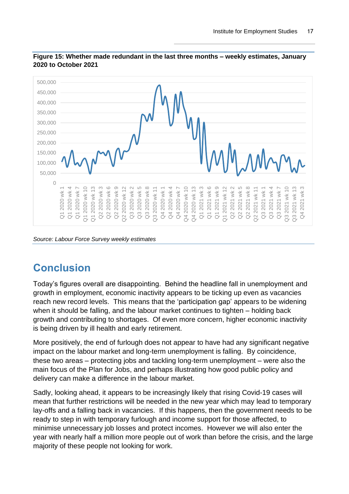

#### <span id="page-16-0"></span>**Figure 15: Whether made redundant in the last three months – weekly estimates, January 2020 to October 2021**

# **Conclusion**

Today's figures overall are disappointing. Behind the headline fall in unemployment and growth in employment, economic inactivity appears to be ticking up even as vacancies reach new record levels. This means that the 'participation gap' appears to be widening when it should be falling, and the labour market continues to tighten – holding back growth and contributing to shortages. Of even more concern, higher economic inactivity is being driven by ill health and early retirement.

More positively, the end of furlough does not appear to have had any significant negative impact on the labour market and long-term unemployment is falling. By coincidence, these two areas – protecting jobs and tackling long-term unemployment – were also the main focus of the Plan for Jobs, and perhaps illustrating how good public policy and delivery can make a difference in the labour market.

Sadly, looking ahead, it appears to be increasingly likely that rising Covid-19 cases will mean that further restrictions will be needed in the new year which may lead to temporary lay-offs and a falling back in vacancies. If this happens, then the government needs to be ready to step in with temporary furlough and income support for those affected, to minimise unnecessary job losses and protect incomes. However we will also enter the year with nearly half a million more people out of work than before the crisis, and the large majority of these people not looking for work.

*Source: Labour Force Survey weekly estimates*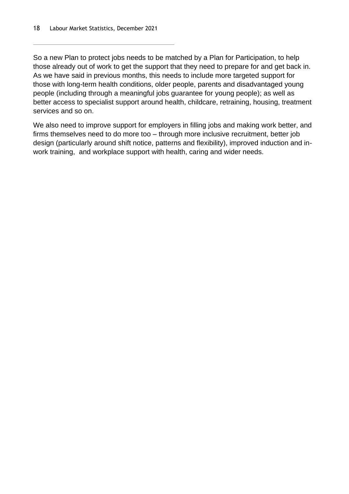So a new Plan to protect jobs needs to be matched by a Plan for Participation, to help those already out of work to get the support that they need to prepare for and get back in. As we have said in previous months, this needs to include more targeted support for those with long-term health conditions, older people, parents and disadvantaged young people (including through a meaningful jobs guarantee for young people); as well as better access to specialist support around health, childcare, retraining, housing, treatment services and so on.

We also need to improve support for employers in filling jobs and making work better, and firms themselves need to do more too – through more inclusive recruitment, better job design (particularly around shift notice, patterns and flexibility), improved induction and inwork training, and workplace support with health, caring and wider needs.